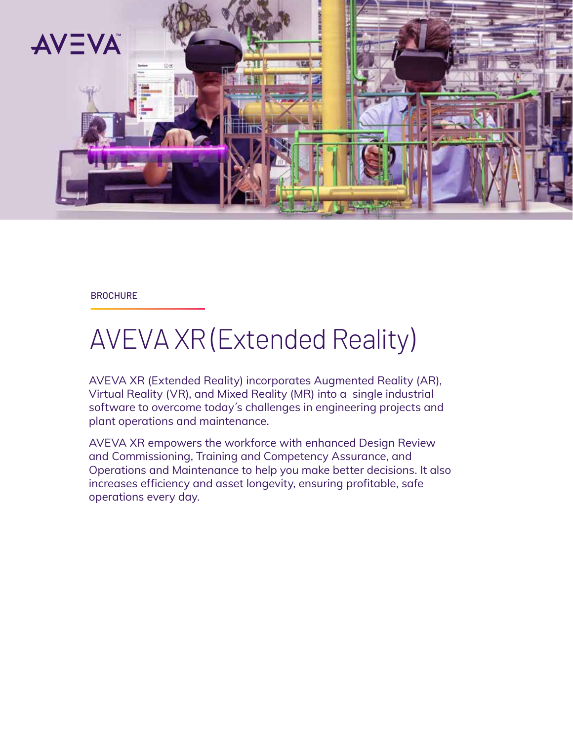

#### **BROCHURE**

# AVEVA XR (Extended Reality)

AVEVA XR (Extended Reality) incorporates Augmented Reality (AR), Virtual Reality (VR), and Mixed Reality (MR) into a single industrial software to overcome today´s challenges in engineering projects and plant operations and maintenance.

AVEVA XR empowers the workforce with enhanced Design Review and Commissioning, Training and Competency Assurance, and Operations and Maintenance to help you make better decisions. It also increases efficiency and asset longevity, ensuring profitable, safe operations every day.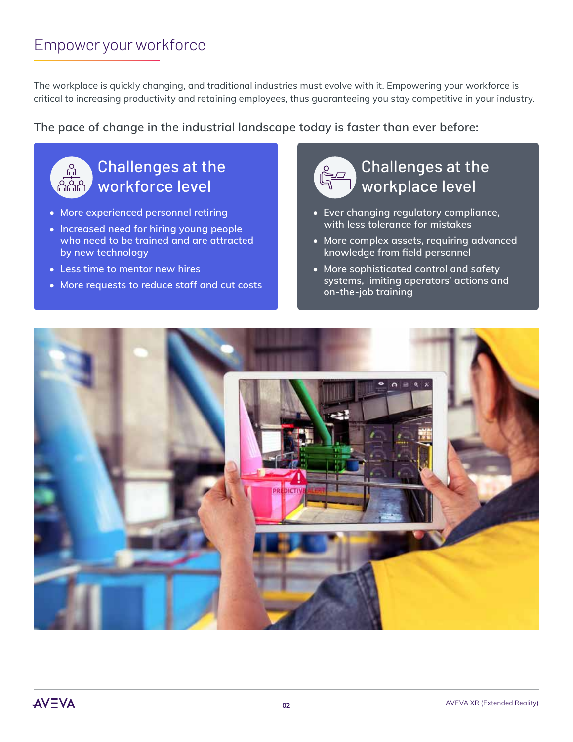### Empower your workforce

The workplace is quickly changing, and traditional industries must evolve with it. Empowering your workforce is critical to increasing productivity and retaining employees, thus guaranteeing you stay competitive in your industry.

### **The pace of change in the industrial landscape today is faster than ever before:**



- **More experienced personnel retiring**
- **Increased need for hiring young people who need to be trained and are attracted by new technology**
- **Less time to mentor new hires**
- **More requests to reduce staff and cut costs**



- **Ever changing regulatory compliance, with less tolerance for mistakes**
- **More complex assets, requiring advanced knowledge from field personnel**
- **More sophisticated control and safety systems, limiting operators' actions and on-the-job training**

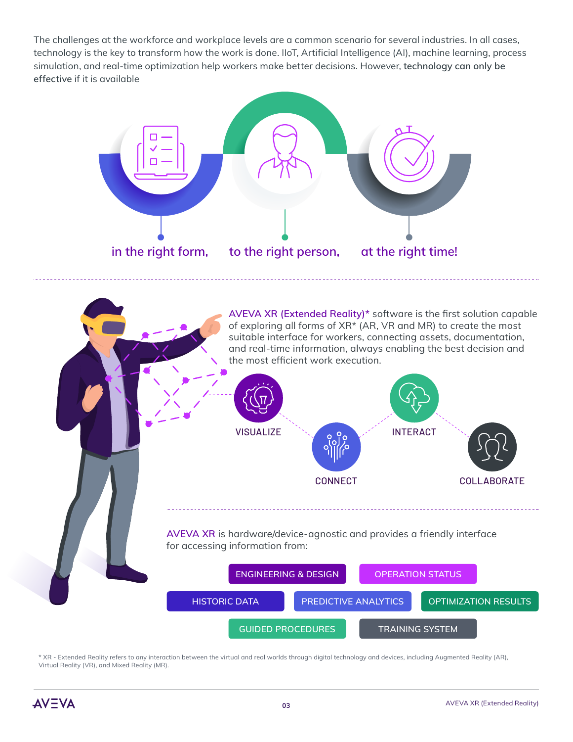The challenges at the workforce and workplace levels are a common scenario for several industries. In all cases, technology is the key to transform how the work is done. IIoT, Artificial Intelligence (AI), machine learning, process simulation, and real-time optimization help workers make better decisions. However, **technology can only be effective** if it is available





\* XR - Extended Reality refers to any interaction between the virtual and real worlds through digital technology and devices, including Augmented Reality (AR), Virtual Reality (VR), and Mixed Reality (MR).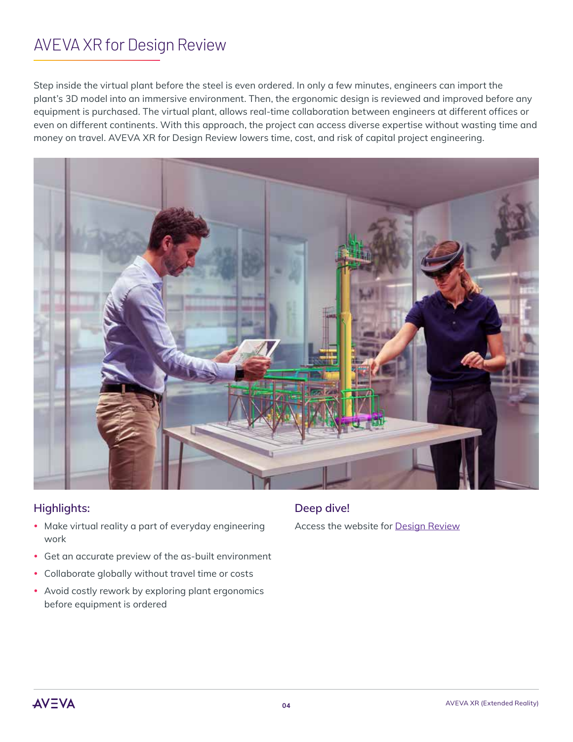## AVEVA XR for Design Review

Step inside the virtual plant before the steel is even ordered. In only a few minutes, engineers can import the plant's 3D model into an immersive environment. Then, the ergonomic design is reviewed and improved before any equipment is purchased. The virtual plant, allows real-time collaboration between engineers at different offices or even on different continents. With this approach, the project can access diverse expertise without wasting time and money on travel. AVEVA XR for Design Review lowers time, cost, and risk of capital project engineering.



### **Highlights:**

- Make virtual reality a part of everyday engineering work
- Get an accurate preview of the as-built environment
- Collaborate globally without travel time or costs
- Avoid costly rework by exploring plant ergonomics before equipment is ordered

### **Deep dive!**

Access the website for [Design Review](https://sw.aveva.com/engineer-procure-construct/engineering-and-design/aveva-e3d-design)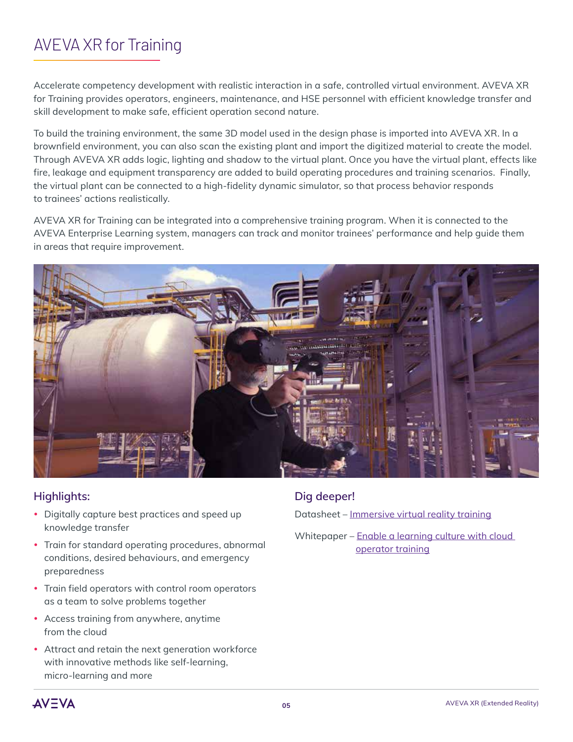# AVEVA XR for Training

Accelerate competency development with realistic interaction in a safe, controlled virtual environment. AVEVA XR for Training provides operators, engineers, maintenance, and HSE personnel with efficient knowledge transfer and skill development to make safe, efficient operation second nature.

To build the training environment, the same 3D model used in the design phase is imported into AVEVA XR. In a brownfield environment, you can also scan the existing plant and import the digitized material to create the model. Through AVEVA XR adds logic, lighting and shadow to the virtual plant. Once you have the virtual plant, effects like fire, leakage and equipment transparency are added to build operating procedures and training scenarios. Finally, the virtual plant can be connected to a high-fidelity dynamic simulator, so that process behavior responds to trainees' actions realistically.

AVEVA XR for Training can be integrated into a comprehensive training program. When it is connected to the AVEVA Enterprise Learning system, managers can track and monitor trainees' performance and help guide them in areas that require improvement.



### **Highlights:**

- Digitally capture best practices and speed up knowledge transfer
- Train for standard operating procedures, abnormal conditions, desired behaviours, and emergency preparedness
- Train field operators with control room operators as a team to solve problems together
- Access training from anywhere, anytime from the cloud
- Attract and retain the next generation workforce with innovative methods like self-learning, micro-learning and more

### **Dig deeper!**

Datasheet – [Immersive virtual reality training](https://sw.aveva.com/hubfs/pdf/datasheet/Datasheet_SE-LIO-Simsci_EYESIMImmersive_05-17.pdf)

Whitepaper – Enable a learning culture with cloud  [operator training](https://sw.aveva.com/campaigns/cloud-operator-training-whitepaper)